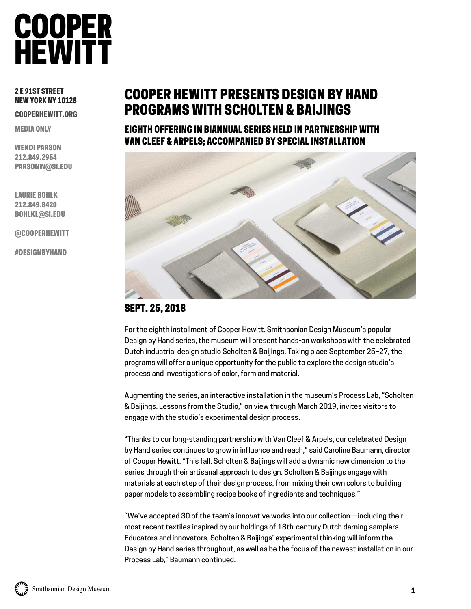### 2 E 91ST STREET NEW YORK NY 10128

COOPERHEWITT.ORG

MEDIA ONLY

WENDI PARSON 212.849.2954 PARSONW@SI.EDU

LAURIE BOHLK 212.849.8420 BOHLKL@SI.EDU

@COOPERHEWITT

#DESIGNBYHAND

# COOPER HEWITT PRESENTS DESIGN BY HAND PROGRAMS WITH SCHOLTEN & BAIJINGS

EIGHTH OFFERING IN BIANNUAL SERIES HELD IN PARTNERSHIP WITH VAN CLEEF & ARPELS; ACCOMPANIED BY SPECIAL INSTALLATION



# SEPT. 25, 2018

For the eighth installment of Cooper Hewitt, Smithsonian Design Museum's popular Design by Hand series, the museum will present hands-on workshops with the celebrated Dutch industrial design studio Scholten & Baijings. Taking place September 25–27, the programs will offer a unique opportunity for the public to explore the design studio's process and investigations of color, form and material.

Augmenting the series, an interactive installation in the museum's Process Lab, "Scholten & Baijings: Lessons from the Studio," on view through March 2019, invites visitors to engage with the studio's experimental design process.

"Thanks to our long-standing partnership with Van Cleef & Arpels, our celebrated Design by Hand series continues to grow in influence and reach," said Caroline Baumann, director of Cooper Hewitt. "This fall, Scholten & Baijings will add a dynamic new dimension to the series through their artisanal approach to design. Scholten & Baijings engage with materials at each step of their design process, from mixing their own colors to building paper models to assembling recipe books of ingredients and techniques."

"We've accepted 30 of the team's innovative works into our collection—including their most recent textiles inspired by our holdings of 18th-century Dutch darning samplers. Educators and innovators, Scholten & Baijings' experimental thinking will inform the Design by Hand series throughout, as well as be the focus of the newest installation in our Process Lab," Baumann continued.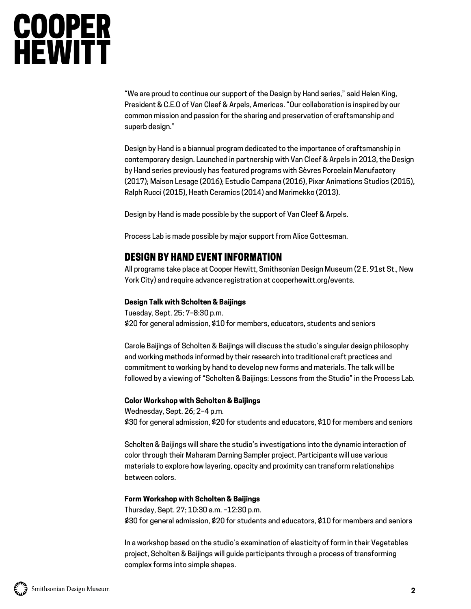"We are proud to continue our support of the Design by Hand series," said Helen King, President & C.E.O of Van Cleef & Arpels, Americas. "Our collaboration is inspired by our common mission and passion for the sharing and preservation of craftsmanship and superb design."

Design by Hand is a biannual program dedicated to the importance of craftsmanship in contemporary design. Launched in partnership with Van Cleef & Arpels in 2013, the Design by Hand series previously has featured programs with Sèvres Porcelain Manufactory (2017); Maison Lesage (2016); Estudio Campana (2016), Pixar Animations Studios (2015), Ralph Rucci (2015), Heath Ceramics (2014) and Marimekko (2013).

Design by Hand is made possible by the support of Van Cleef & Arpels.

Process Lab is made possible by major support from Alice Gottesman.

## DESIGN BY HAND EVENT INFORMATION

All programs take place at Cooper Hewitt, Smithsonian Design Museum (2 E. 91st St., New York City) and require advance registration at cooperhewitt.org/events.

### **Design Talk with Scholten & Baijings**

Tuesday, Sept. 25; 7–8:30 p.m. \$20 for general admission, \$10 for members, educators, students and seniors

Carole Baijings of Scholten & Baijings will discuss the studio's singular design philosophy and working methods informed by their research into traditional craft practices and commitment to working by hand to develop new forms and materials. The talk will be followed by a viewing of "Scholten & Baijings: Lessons from the Studio" in the Process Lab.

### **Color Workshop with Scholten & Baijings**

Wednesday, Sept. 26; 2–4 p.m. \$30 for general admission, \$20 for students and educators, \$10 for members and seniors

Scholten & Baijings will share the studio's investigations into the dynamic interaction of color through their Maharam Darning Sampler project. Participants will use various materials to explore how layering, opacity and proximity can transform relationships between colors.

### **Form Workshop with Scholten & Baijings**

Thursday, Sept. 27; 10:30 a.m. –12:30 p.m. \$30 for general admission, \$20 for students and educators, \$10 for members and seniors

In a workshop based on the studio's examination of elasticity of form in their Vegetables project, Scholten & Baijings will guide participants through a process of transforming complex forms into simple shapes.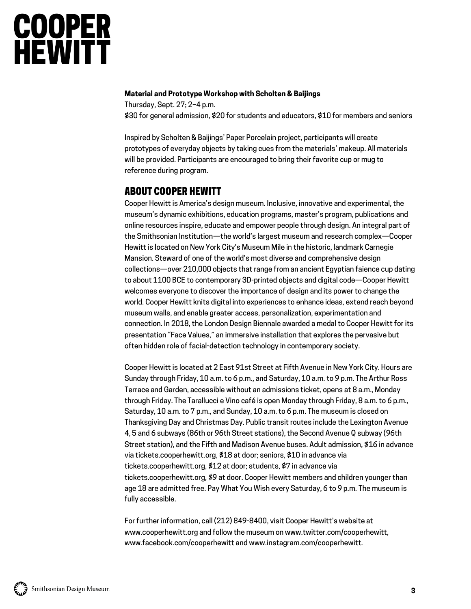### **Material and Prototype Workshop with Scholten & Baijings**

Thursday, Sept. 27; 2–4 p.m. \$30 for general admission, \$20 for students and educators, \$10 for members and seniors

Inspired by Scholten & Baijings' Paper Porcelain project, participants will create prototypes of everyday objects by taking cues from the materials' makeup. All materials will be provided. Participants are encouraged to bring their favorite cup or mug to reference during program.

## ABOUT COOPER HEWITT

Cooper Hewitt is America's design museum. Inclusive, innovative and experimental, the museum's dynamic exhibitions, education programs, master's program, publications and online resources inspire, educate and empower people through design. An integral part of the Smithsonian Institution—the world's largest museum and research complex—Cooper Hewitt is located on New York City's Museum Mile in the historic, landmark Carnegie Mansion. Steward of one of the world's most diverse and comprehensive design collections—over 210,000 objects that range from an ancient Egyptian faience cup dating to about 1100 BCE to contemporary 3D-printed objects and digital code—Cooper Hewitt welcomes everyone to discover the importance of design and its power to change the world. Cooper Hewitt knits digital into experiences to enhance ideas, extend reach beyond museum walls, and enable greater access, personalization, experimentation and connection. In 2018, the London Design Biennale awarded a medal to Cooper Hewitt for its presentation "Face Values," an immersive installation that explores the pervasive but often hidden role of facial-detection technology in contemporary society.

Cooper Hewitt is located at 2 East 91st Street at Fifth Avenue in New York City. Hours are Sunday through Friday, 10 a.m. to 6 p.m., and Saturday, 10 a.m. to 9 p.m. The Arthur Ross Terrace and Garden, accessible without an admissions ticket, opens at 8 a.m., Monday through Friday. The Tarallucci e Vino café is open Monday through Friday, 8 a.m. to 6 p.m., Saturday, 10 a.m. to 7 p.m., and Sunday, 10 a.m. to 6 p.m. The museum is closed on Thanksgiving Day and Christmas Day. Public transit routes include the Lexington Avenue 4, 5 and 6 subways (86th or 96th Street stations), the Second Avenue Q subway (96th Street station), and the Fifth and Madison Avenue buses. Adult admission, \$16 in advance via tickets.cooperhewitt.org, \$18 at door; seniors, \$10 in advance via tickets.cooperhewitt.org, \$12 at door; students, \$7 in advance via tickets.cooperhewitt.org, \$9 at door. Cooper Hewitt members and children younger than age 18 are admitted free. Pay What You Wish every Saturday, 6 to 9 p.m. The museum is fully accessible.

For further information, call (212) 849-8400, visit Cooper Hewitt's website at www.cooperhewitt.org and follow the museum on www.twitter.com/cooperhewitt, www.facebook.com/cooperhewitt and www.instagram.com/cooperhewitt.